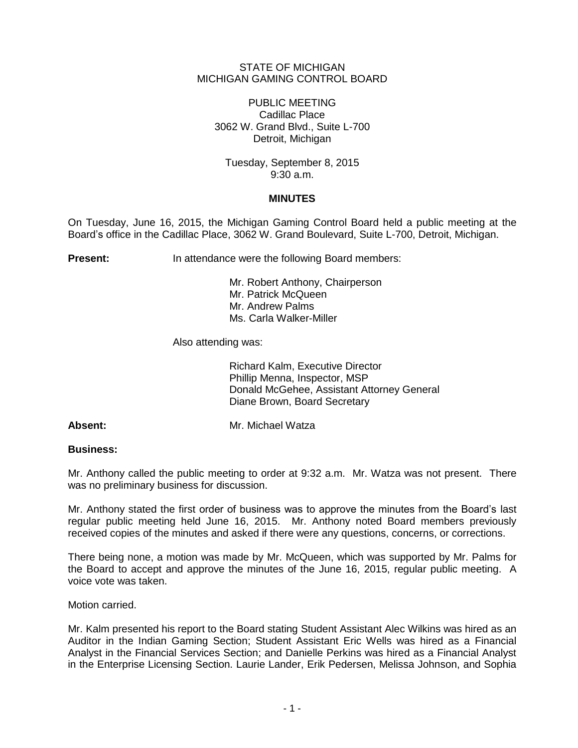# STATE OF MICHIGAN MICHIGAN GAMING CONTROL BOARD

PUBLIC MEETING Cadillac Place 3062 W. Grand Blvd., Suite L-700 Detroit, Michigan

Tuesday, September 8, 2015 9:30 a.m.

### **MINUTES**

On Tuesday, June 16, 2015, the Michigan Gaming Control Board held a public meeting at the Board's office in the Cadillac Place, 3062 W. Grand Boulevard, Suite L-700, Detroit, Michigan.

**Present:** In attendance were the following Board members:

Mr. Robert Anthony, Chairperson Mr. Patrick McQueen Mr. Andrew Palms Ms. Carla Walker-Miller

Also attending was:

Richard Kalm, Executive Director Phillip Menna, Inspector, MSP Donald McGehee, Assistant Attorney General Diane Brown, Board Secretary

**Absent:** Mr. Michael Watza

### **Business:**

Mr. Anthony called the public meeting to order at 9:32 a.m. Mr. Watza was not present. There was no preliminary business for discussion.

Mr. Anthony stated the first order of business was to approve the minutes from the Board's last regular public meeting held June 16, 2015. Mr. Anthony noted Board members previously received copies of the minutes and asked if there were any questions, concerns, or corrections.

There being none, a motion was made by Mr. McQueen, which was supported by Mr. Palms for the Board to accept and approve the minutes of the June 16, 2015, regular public meeting. A voice vote was taken.

Motion carried.

Mr. Kalm presented his report to the Board stating Student Assistant Alec Wilkins was hired as an Auditor in the Indian Gaming Section; Student Assistant Eric Wells was hired as a Financial Analyst in the Financial Services Section; and Danielle Perkins was hired as a Financial Analyst in the Enterprise Licensing Section. Laurie Lander, Erik Pedersen, Melissa Johnson, and Sophia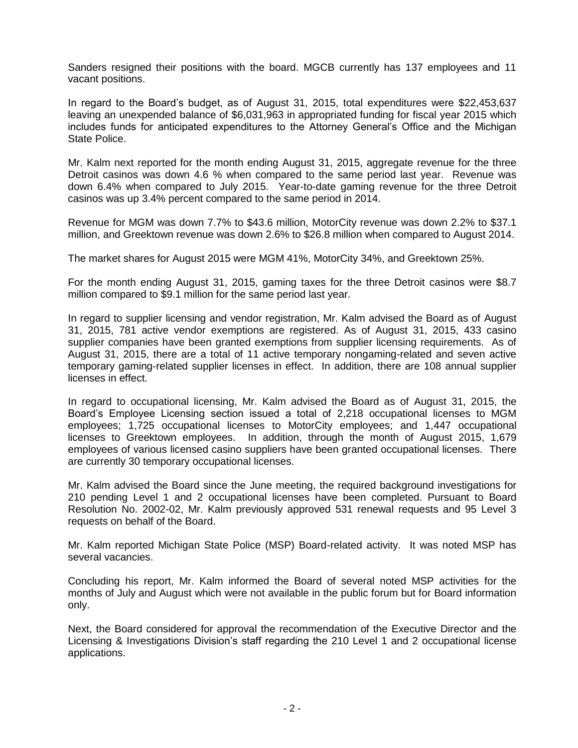Sanders resigned their positions with the board. MGCB currently has 137 employees and 11 vacant positions.

In regard to the Board's budget, as of August 31, 2015, total expenditures were \$22,453,637 leaving an unexpended balance of \$6,031,963 in appropriated funding for fiscal year 2015 which includes funds for anticipated expenditures to the Attorney General's Office and the Michigan State Police.

Mr. Kalm next reported for the month ending August 31, 2015, aggregate revenue for the three Detroit casinos was down 4.6 % when compared to the same period last year. Revenue was down 6.4% when compared to July 2015. Year-to-date gaming revenue for the three Detroit casinos was up 3.4% percent compared to the same period in 2014.

Revenue for MGM was down 7.7% to \$43.6 million, MotorCity revenue was down 2.2% to \$37.1 million, and Greektown revenue was down 2.6% to \$26.8 million when compared to August 2014.

The market shares for August 2015 were MGM 41%, MotorCity 34%, and Greektown 25%.

For the month ending August 31, 2015, gaming taxes for the three Detroit casinos were \$8.7 million compared to \$9.1 million for the same period last year.

In regard to supplier licensing and vendor registration, Mr. Kalm advised the Board as of August 31, 2015, 781 active vendor exemptions are registered. As of August 31, 2015, 433 casino supplier companies have been granted exemptions from supplier licensing requirements. As of August 31, 2015, there are a total of 11 active temporary nongaming-related and seven active temporary gaming-related supplier licenses in effect. In addition, there are 108 annual supplier licenses in effect.

In regard to occupational licensing, Mr. Kalm advised the Board as of August 31, 2015, the Board's Employee Licensing section issued a total of 2,218 occupational licenses to MGM employees; 1,725 occupational licenses to MotorCity employees; and 1,447 occupational licenses to Greektown employees. In addition, through the month of August 2015, 1,679 employees of various licensed casino suppliers have been granted occupational licenses. There are currently 30 temporary occupational licenses.

Mr. Kalm advised the Board since the June meeting, the required background investigations for 210 pending Level 1 and 2 occupational licenses have been completed. Pursuant to Board Resolution No. 2002-02, Mr. Kalm previously approved 531 renewal requests and 95 Level 3 requests on behalf of the Board.

Mr. Kalm reported Michigan State Police (MSP) Board-related activity. It was noted MSP has several vacancies.

Concluding his report, Mr. Kalm informed the Board of several noted MSP activities for the months of July and August which were not available in the public forum but for Board information only.

Next, the Board considered for approval the recommendation of the Executive Director and the Licensing & Investigations Division's staff regarding the 210 Level 1 and 2 occupational license applications.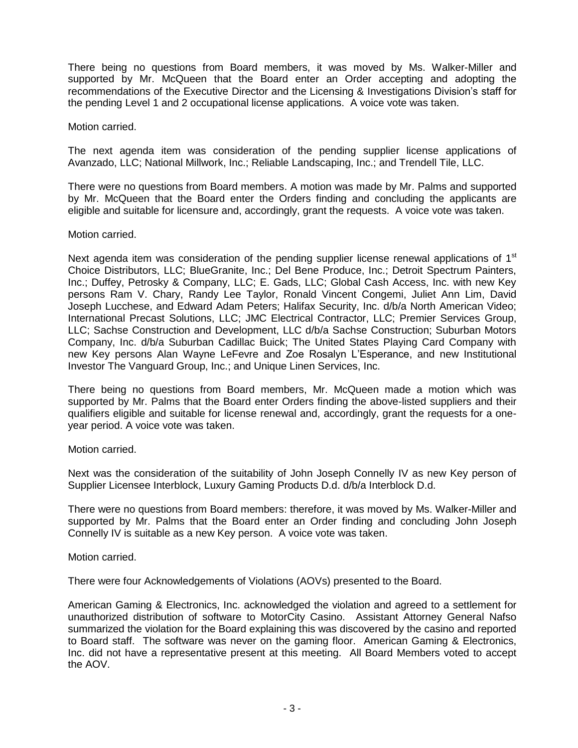There being no questions from Board members, it was moved by Ms. Walker-Miller and supported by Mr. McQueen that the Board enter an Order accepting and adopting the recommendations of the Executive Director and the Licensing & Investigations Division's staff for the pending Level 1 and 2 occupational license applications. A voice vote was taken.

Motion carried.

The next agenda item was consideration of the pending supplier license applications of Avanzado, LLC; National Millwork, Inc.; Reliable Landscaping, Inc.; and Trendell Tile, LLC.

There were no questions from Board members. A motion was made by Mr. Palms and supported by Mr. McQueen that the Board enter the Orders finding and concluding the applicants are eligible and suitable for licensure and, accordingly, grant the requests. A voice vote was taken.

# Motion carried.

Next agenda item was consideration of the pending supplier license renewal applications of 1<sup>st</sup> Choice Distributors, LLC; BlueGranite, Inc.; Del Bene Produce, Inc.; Detroit Spectrum Painters, Inc.; Duffey, Petrosky & Company, LLC; E. Gads, LLC; Global Cash Access, Inc. with new Key persons Ram V. Chary, Randy Lee Taylor, Ronald Vincent Congemi, Juliet Ann Lim, David Joseph Lucchese, and Edward Adam Peters; Halifax Security, Inc. d/b/a North American Video; International Precast Solutions, LLC; JMC Electrical Contractor, LLC; Premier Services Group, LLC; Sachse Construction and Development, LLC d/b/a Sachse Construction; Suburban Motors Company, Inc. d/b/a Suburban Cadillac Buick; The United States Playing Card Company with new Key persons Alan Wayne LeFevre and Zoe Rosalyn L'Esperance, and new Institutional Investor The Vanguard Group, Inc.; and Unique Linen Services, Inc.

There being no questions from Board members, Mr. McQueen made a motion which was supported by Mr. Palms that the Board enter Orders finding the above-listed suppliers and their qualifiers eligible and suitable for license renewal and, accordingly, grant the requests for a oneyear period. A voice vote was taken.

Motion carried.

Next was the consideration of the suitability of John Joseph Connelly IV as new Key person of Supplier Licensee Interblock, Luxury Gaming Products D.d. d/b/a Interblock D.d.

There were no questions from Board members: therefore, it was moved by Ms. Walker-Miller and supported by Mr. Palms that the Board enter an Order finding and concluding John Joseph Connelly IV is suitable as a new Key person. A voice vote was taken.

Motion carried.

There were four Acknowledgements of Violations (AOVs) presented to the Board.

American Gaming & Electronics, Inc. acknowledged the violation and agreed to a settlement for unauthorized distribution of software to MotorCity Casino. Assistant Attorney General Nafso summarized the violation for the Board explaining this was discovered by the casino and reported to Board staff. The software was never on the gaming floor. American Gaming & Electronics, Inc. did not have a representative present at this meeting. All Board Members voted to accept the AOV.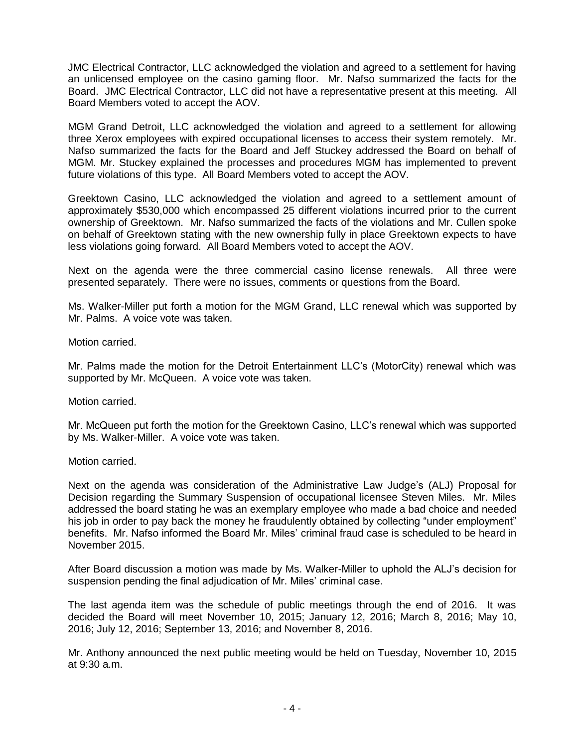JMC Electrical Contractor, LLC acknowledged the violation and agreed to a settlement for having an unlicensed employee on the casino gaming floor. Mr. Nafso summarized the facts for the Board. JMC Electrical Contractor, LLC did not have a representative present at this meeting. All Board Members voted to accept the AOV.

MGM Grand Detroit, LLC acknowledged the violation and agreed to a settlement for allowing three Xerox employees with expired occupational licenses to access their system remotely. Mr. Nafso summarized the facts for the Board and Jeff Stuckey addressed the Board on behalf of MGM. Mr. Stuckey explained the processes and procedures MGM has implemented to prevent future violations of this type. All Board Members voted to accept the AOV.

Greektown Casino, LLC acknowledged the violation and agreed to a settlement amount of approximately \$530,000 which encompassed 25 different violations incurred prior to the current ownership of Greektown. Mr. Nafso summarized the facts of the violations and Mr. Cullen spoke on behalf of Greektown stating with the new ownership fully in place Greektown expects to have less violations going forward. All Board Members voted to accept the AOV.

Next on the agenda were the three commercial casino license renewals. All three were presented separately. There were no issues, comments or questions from the Board.

Ms. Walker-Miller put forth a motion for the MGM Grand, LLC renewal which was supported by Mr. Palms. A voice vote was taken.

Motion carried.

Mr. Palms made the motion for the Detroit Entertainment LLC's (MotorCity) renewal which was supported by Mr. McQueen. A voice vote was taken.

Motion carried.

Mr. McQueen put forth the motion for the Greektown Casino, LLC's renewal which was supported by Ms. Walker-Miller. A voice vote was taken.

Motion carried.

Next on the agenda was consideration of the Administrative Law Judge's (ALJ) Proposal for Decision regarding the Summary Suspension of occupational licensee Steven Miles. Mr. Miles addressed the board stating he was an exemplary employee who made a bad choice and needed his job in order to pay back the money he fraudulently obtained by collecting "under employment" benefits. Mr. Nafso informed the Board Mr. Miles' criminal fraud case is scheduled to be heard in November 2015.

After Board discussion a motion was made by Ms. Walker-Miller to uphold the ALJ's decision for suspension pending the final adjudication of Mr. Miles' criminal case.

The last agenda item was the schedule of public meetings through the end of 2016. It was decided the Board will meet November 10, 2015; January 12, 2016; March 8, 2016; May 10, 2016; July 12, 2016; September 13, 2016; and November 8, 2016.

Mr. Anthony announced the next public meeting would be held on Tuesday, November 10, 2015 at 9:30 a.m.